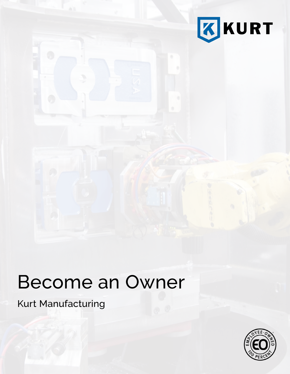

# Become an Owner

Kurt Manufacturing

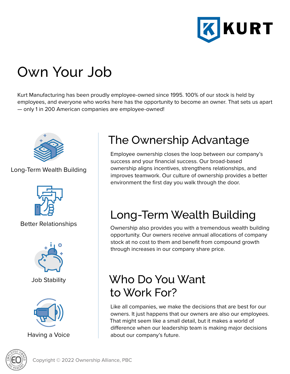

# Own Your Job

Kurt Manufacturing has been proudly employee-owned since 1995. 100% of our stock is held by employees, and everyone who works here has the opportunity to become an owner. That sets us apart — only 1 in 200 American companies are employee-owned!



#### Long-Term Wealth Building



Better Relationships



Job Stability



Having a Voice

# The Ownership Advantage

Employee ownership closes the loop between our company's success and your financial success. Our broad-based ownership aligns incentives, strengthens relationships, and improves teamwork. Our culture of ownership provides a better environment the first day you walk through the door.

# Long-Term Wealth Building

Ownership also provides you with a tremendous wealth building opportunity. Our owners receive annual allocations of company stock at no cost to them and benefit from compound growth through increases in our company share price.

## Who Do You Want to Work For?

Like all companies, we make the decisions that are best for our owners. It just happens that our owners are also our employees. That might seem like a small detail, but it makes a world of difference when our leadership team is making major decisions about our company's future.

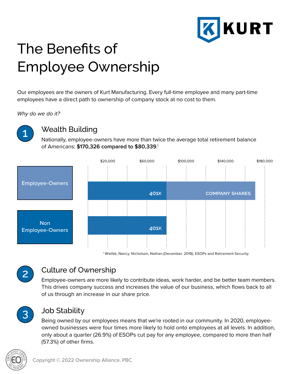

# The Benefits of Employee Ownership

Our employees are the owners of Kurt Manufacturing. Every full-time employee and many part-time employees have a direct path to ownership of company stock at no cost to them.

*Why do we do it?*



#### Wealth Building

Nationally, employee-owners have more than twice the average total retirement balance of Americans: **\$170,326 compared to \$80,339**. 1





#### Culture of Ownership

Employee-owners are more likely to contribute ideas, work harder, and be better team members. This drives company success and increases the value of our business, which flows back to all of us through an increase in our share price.



#### Job Stability

Being owned by our employees means that we're rooted in our community. In 2020, employeeowned businesses were four times more likely to hold onto employees at all levels. In addition, only about a quarter (26.9%) of ESOPs cut pay for any employee, compared to more than half (57.3%) of other firms.